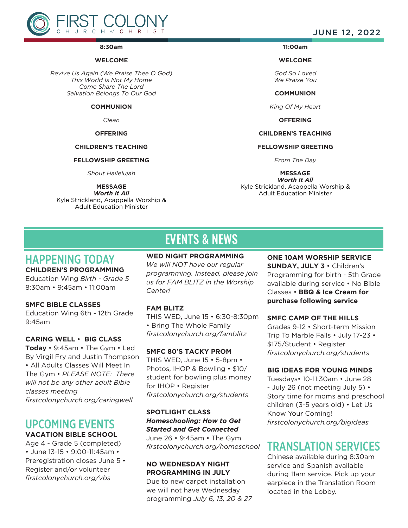

#### **8:30am**

#### **WELCOME**

*Revive Us Again (We Praise Thee O God) This World Is Not My Home Come Share The Lord Salvation Belongs To Our God*

#### **COMMUNION**

*Clean*

#### **OFFERING**

#### **CHILDREN'S TEACHING**

#### **FELLOWSHIP GREETING**

*Shout Hallelujah*

**MESSAGE** *Worth It All*

Kyle Strickland, Acappella Worship & Adult Education Minister

JUNE 12, 2022

#### **11:00am**

**WELCOME** 

*God So Loved We Praise You*

**COMMUNION**

*King Of My Heart*

**OFFERING**

#### **CHILDREN'S TEACHING**

#### **FELLOWSHIP GREETING**

*From The Day*

**MESSAGE**

*Worth It All* Kyle Strickland, Acappella Worship & Adult Education Minister

# EVENTS & NEWS

#### HAPPENING TODAY **WED NIGHT PROGRAMMING**

## **CHILDREN'S PROGRAMMING**

Education Wing *Birth - Grade 5* 8:30am • 9:45am • 11:00am

#### **SMFC BIBLE CLASSES**

Education Wing 6th - 12th Grade 9:45am

#### **CARING WELL** • **BIG CLASS**

**Today** • 9:45am • The Gym • Led By Virgil Fry and Justin Thompson • All Adults Classes Will Meet In The Gym • *PLEASE NOTE: There will not be any other adult Bible classes meeting firstcolonychurch.org/caringwell* 

## UPCOMING EVENTS **VACATION BIBLE SCHOOL**

Age 4 - Grade 5 (completed) • June 13-15 • 9:00-11:45am • Preregistration closes June 5 • Register and/or volunteer *firstcolonychurch.org/vbs*

*We will NOT have our regular programming. Instead, please join us for FAM BLITZ in the Worship Center!*

#### **FAM BLITZ**

THIS WED, June 15 • 6:30-8:30pm • Bring The Whole Family *firstcolonychurch.org/famblitz*

#### **SMFC 80'S TACKY PROM**

THIS WED, June 15 • 5-8pm • Photos, IHOP & Bowling • \$10/ student for bowling plus money for IHOP • Register *firstcolonychurch.org/students* 

## **SPOTLIGHT CLASS** *Homeschooling: How to Get Started and Get Connected*

June 26 • 9:45am • The Gym *firstcolonychurch.org/homeschool*

### **NO WEDNESDAY NIGHT PROGRAMMING IN JULY**

Due to new carpet installation we will not have Wednesday programming *July 6, 13, 20 & 27*

### **ONE 10AM WORSHIP SERVICE SUNDAY, JULY 3** • Children's Programming for birth - 5th Grade available during service • No Bible Classes • **BBQ & Ice Cream for purchase following service**

#### **SMFC CAMP OF THE HILLS**

Grades 9-12 • Short-term Mission Trip To Marble Falls • July 17-23 • \$175/Student • Register *firstcolonychurch.org/students*

#### **BIG IDEAS FOR YOUNG MINDS**

Tuesdays• 10-11:30am • June 28 - July 26 (not meeting July 5) • Story time for moms and preschool children (3-5 years old) • Let Us Know Your Coming! *firstcolonychurch.org/bigideas*

## TRANSLATION SERVICES

Chinese available during 8:30am service and Spanish available during 11am service. Pick up your earpiece in the Translation Room located in the Lobby.